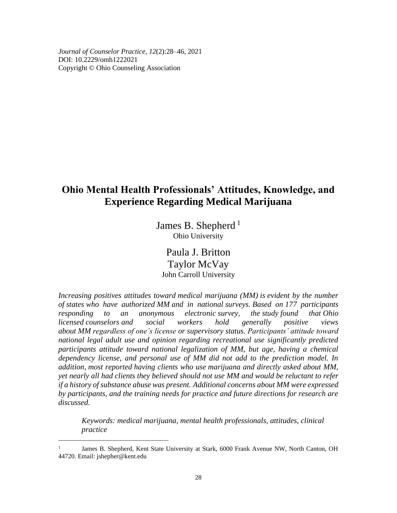*Journal of Counselor Practice, 12*(2):28–46, 2021 DOI: 10.2229/omh1222021 Copyright © Ohio Counseling Association

# **Ohio Mental Health Professionals' Attitudes, Knowledge, and Experience Regarding Medical Marijuana**

James B. Shepherd<sup>1</sup> Ohio University

Paula J. Britton Taylor McVay John Carroll University

*Increasing positives attitudes toward medical marijuana (MM) is evident by the number of states who have authorized MM and in national surveys. Based on 177 participants responding to an anonymous electronic survey, the study found that Ohio licensed counselors and social workers hold generally positive views about MM regardless of one's license or supervisory status. Participants' attitude toward national legal adult use and opinion regarding recreational use significantly predicted participants attitude toward national legalization of MM, but age, having a chemical dependency license, and personal use of MM did not add to the prediction model. In addition, most reported having clients who use marijuana and directly asked about MM, yet nearly all had clients they believed should not use MM and would be reluctant to refer if a history of substance abuse was present. Additional concerns about MM were expressed by participants, and the training needs for practice and future directions for research are discussed.*

*Keywords: medical marijuana, mental health professionals, attitudes, clinical practice*

*\_\_\_\_\_\_\_\_\_\_\_\_\_\_\_\_\_\_\_\_\_\_\_\_\_\_\_\_\_\_\_\_\_\_*

<sup>1</sup> James B. Shepherd, Kent State University at Stark, 6000 Frank Avenue NW, North Canton, OH 44720. Email: jshepher@kent.edu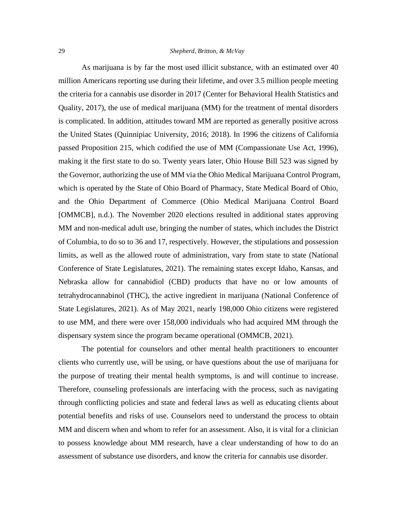As marijuana is by far the most used illicit substance, with an estimated over 40 million Americans reporting use during their lifetime, and over 3.5 million people meeting the criteria for a cannabis use disorder in 2017 (Center for Behavioral Health Statistics and Quality, 2017), the use of medical marijuana (MM) for the treatment of mental disorders is complicated. In addition, attitudes toward MM are reported as generally positive across the United States (Quinnipiac University, 2016; 2018). In 1996 the citizens of California passed Proposition 215, which codified the use of MM (Compassionate Use Act, 1996), making it the first state to do so. Twenty years later, Ohio House Bill 523 was signed by the Governor, authorizing the use of MM via the Ohio Medical Marijuana Control Program, which is operated by the State of Ohio Board of Pharmacy, State Medical Board of Ohio, and the Ohio Department of Commerce (Ohio Medical Marijuana Control Board [OMMCB], n.d.). The November 2020 elections resulted in additional states approving MM and non-medical adult use, bringing the number of states, which includes the District of Columbia, to do so to 36 and 17, respectively. However, the stipulations and possession limits, as well as the allowed route of administration, vary from state to state (National Conference of State Legislatures, 2021). The remaining states except Idaho, Kansas, and Nebraska allow for cannabidiol (CBD) products that have no or low amounts of tetrahydrocannabinol (THC), the active ingredient in marijuana (National Conference of State Legislatures, 2021). As of May 2021, nearly 198,000 Ohio citizens were registered to use MM, and there were over 158,000 individuals who had acquired MM through the dispensary system since the program became operational (OMMCB, 2021).

The potential for counselors and other mental health practitioners to encounter clients who currently use, will be using, or have questions about the use of marijuana for the purpose of treating their mental health symptoms, is and will continue to increase. Therefore, counseling professionals are interfacing with the process, such as navigating through conflicting policies and state and federal laws as well as educating clients about potential benefits and risks of use. Counselors need to understand the process to obtain MM and discern when and whom to refer for an assessment. Also, it is vital for a clinician to possess knowledge about MM research, have a clear understanding of how to do an assessment of substance use disorders, and know the criteria for cannabis use disorder.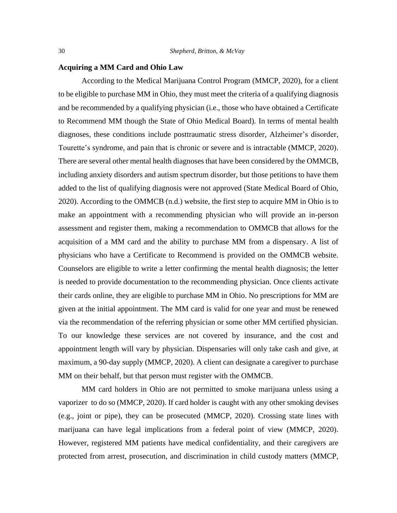## **Acquiring a MM Card and Ohio Law**

According to the Medical Marijuana Control Program (MMCP, 2020), for a client to be eligible to purchase MM in Ohio, they must meet the criteria of a qualifying diagnosis and be recommended by a qualifying physician (i.e., those who have obtained a Certificate to Recommend MM though the State of Ohio Medical Board). In terms of mental health diagnoses, these conditions include posttraumatic stress disorder, Alzheimer's disorder, Tourette's syndrome, and pain that is chronic or severe and is intractable (MMCP, 2020). There are several other mental health diagnoses that have been considered by the OMMCB, including anxiety disorders and autism spectrum disorder, but those petitions to have them added to the list of qualifying diagnosis were not approved (State Medical Board of Ohio, 2020). According to the OMMCB (n.d.) website, the first step to acquire MM in Ohio is to make an appointment with a recommending physician who will provide an in-person assessment and register them, making a recommendation to OMMCB that allows for the acquisition of a MM card and the ability to purchase MM from a dispensary. A list of physicians who have a Certificate to Recommend is provided on the OMMCB website. Counselors are eligible to write a letter confirming the mental health diagnosis; the letter is needed to provide documentation to the recommending physician. Once clients activate their cards online, they are eligible to purchase MM in Ohio. No prescriptions for MM are given at the initial appointment. The MM card is valid for one year and must be renewed via the recommendation of the referring physician or some other MM certified physician. To our knowledge these services are not covered by insurance, and the cost and appointment length will vary by physician. Dispensaries will only take cash and give, at maximum, a 90-day supply (MMCP, 2020). A client can designate a caregiver to purchase MM on their behalf, but that person must register with the OMMCB.

MM card holders in Ohio are not permitted to smoke marijuana unless using a vaporizer to do so (MMCP, 2020). If card holder is caught with any other smoking devises (e.g., joint or pipe), they can be prosecuted (MMCP, 2020). Crossing state lines with marijuana can have legal implications from a federal point of view (MMCP, 2020). However, registered MM patients have medical confidentiality, and their caregivers are protected from arrest, prosecution, and discrimination in child custody matters (MMCP,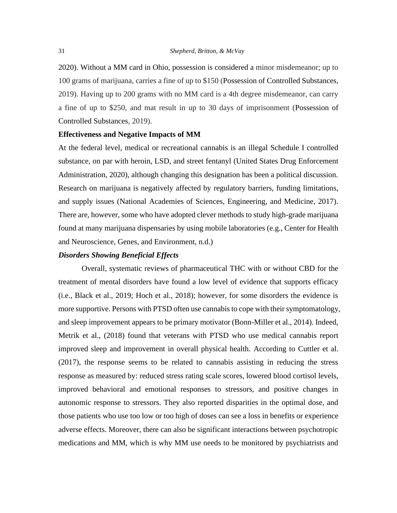2020). Without a MM card in Ohio, possession is considered a minor misdemeanor; up to 100 grams of marijuana, carries a fine of up to \$150 (Possession of Controlled Substances, 2019). Having up to 200 grams with no MM card is a 4th degree misdemeanor, can carry a fine of up to \$250, and mat result in up to 30 days of imprisonment (Possession of Controlled Substances, 2019).

#### **Effectiveness and Negative Impacts of MM**

At the federal level, medical or recreational cannabis is an illegal Schedule I controlled substance, on par with heroin, LSD, and street fentanyl (United States Drug Enforcement Administration, 2020), although changing this designation has been a political discussion. Research on marijuana is negatively affected by regulatory barriers, funding limitations, and supply issues (National Academies of Sciences, Engineering, and Medicine, 2017). There are, however, some who have adopted clever methods to study high-grade marijuana found at many marijuana dispensaries by using mobile laboratories (e.g., Center for Health and Neuroscience, Genes, and Environment, n.d.)

#### *Disorders Showing Beneficial Effects*

Overall, systematic reviews of pharmaceutical THC with or without CBD for the treatment of mental disorders have found a low level of evidence that supports efficacy (i.e., Black et al., 2019; Hoch et al., 2018); however, for some disorders the evidence is more supportive. Persons with PTSD often use cannabis to cope with their symptomatology, and sleep improvement appears to be primary motivator (Bonn-Miller et al., 2014). Indeed, Metrik et al., (2018) found that veterans with PTSD who use medical cannabis report improved sleep and improvement in overall physical health. According to Cuttler et al. (2017), the response seems to be related to cannabis assisting in reducing the stress response as measured by: reduced stress rating scale scores, lowered blood cortisol levels, improved behavioral and emotional responses to stressors, and positive changes in autonomic response to stressors. They also reported disparities in the optimal dose, and those patients who use too low or too high of doses can see a loss in benefits or experience adverse effects. Moreover, there can also be significant interactions between psychotropic medications and MM, which is why MM use needs to be monitored by psychiatrists and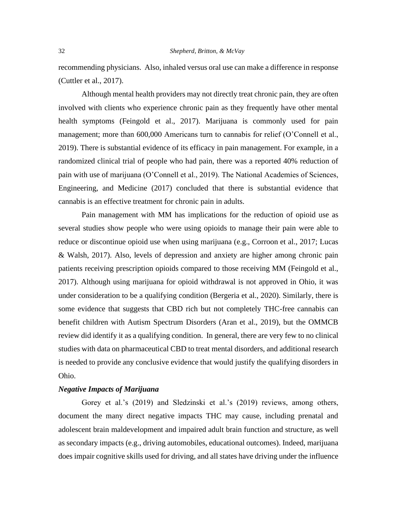recommending physicians. Also, inhaled versus oral use can make a difference in response (Cuttler et al., 2017).

Although mental health providers may not directly treat chronic pain, they are often involved with clients who experience chronic pain as they frequently have other mental health symptoms (Feingold et al., 2017). Marijuana is commonly used for pain management; more than 600,000 Americans turn to cannabis for relief (O'Connell et al., 2019). There is substantial evidence of its efficacy in pain management. For example, in a randomized clinical trial of people who had pain, there was a reported 40% reduction of pain with use of marijuana (O'Connell et al., 2019). The National Academies of Sciences, Engineering, and Medicine (2017) concluded that there is substantial evidence that cannabis is an effective treatment for chronic pain in adults.

Pain management with MM has implications for the reduction of opioid use as several studies show people who were using opioids to manage their pain were able to reduce or discontinue opioid use when using marijuana (e.g., Corroon et al., 2017; Lucas & Walsh, 2017). Also, levels of depression and anxiety are higher among chronic pain patients receiving prescription opioids compared to those receiving MM (Feingold et al., 2017). Although using marijuana for opioid withdrawal is not approved in Ohio, it was under consideration to be a qualifying condition (Bergeria et al., 2020). Similarly, there is some evidence that suggests that CBD rich but not completely THC-free cannabis can benefit children with Autism Spectrum Disorders (Aran et al., 2019), but the OMMCB review did identify it as a qualifying condition. In general, there are very few to no clinical studies with data on pharmaceutical CBD to treat mental disorders, and additional research is needed to provide any conclusive evidence that would justify the qualifying disorders in Ohio.

# *Negative Impacts of Marijuana*

Gorey et al.'s (2019) and Sledzinski et al.'s (2019) reviews, among others, document the many direct negative impacts THC may cause, including prenatal and adolescent brain maldevelopment and impaired adult brain function and structure, as well as secondary impacts (e.g., driving automobiles, educational outcomes). Indeed, marijuana does impair cognitive skills used for driving, and all states have driving under the influence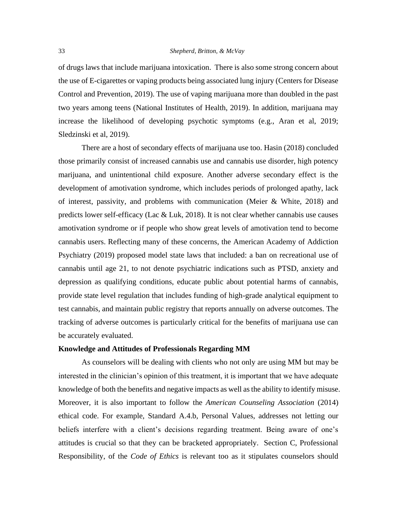of drugs laws that include marijuana intoxication. There is also some strong concern about the use of E-cigarettes or vaping products being associated lung injury (Centers for Disease Control and Prevention, 2019). The use of vaping marijuana more than doubled in the past two years among teens (National Institutes of Health, 2019). In addition, marijuana may increase the likelihood of developing psychotic symptoms (e.g., Aran et al, 2019; Sledzinski et al, 2019).

There are a host of secondary effects of marijuana use too. Hasin (2018) concluded those primarily consist of increased cannabis use and cannabis use disorder, high potency marijuana, and unintentional child exposure. Another adverse secondary effect is the development of amotivation syndrome, which includes periods of prolonged apathy, lack of interest, passivity, and problems with communication (Meier & White, 2018) and predicts lower self-efficacy (Lac & Luk, 2018). It is not clear whether cannabis use causes amotivation syndrome or if people who show great levels of amotivation tend to become cannabis users. Reflecting many of these concerns, the American Academy of Addiction Psychiatry (2019) proposed model state laws that included: a ban on recreational use of cannabis until age 21, to not denote psychiatric indications such as PTSD, anxiety and depression as qualifying conditions, educate public about potential harms of cannabis, provide state level regulation that includes funding of high-grade analytical equipment to test cannabis, and maintain public registry that reports annually on adverse outcomes. The tracking of adverse outcomes is particularly critical for the benefits of marijuana use can be accurately evaluated.

## **Knowledge and Attitudes of Professionals Regarding MM**

As counselors will be dealing with clients who not only are using MM but may be interested in the clinician's opinion of this treatment, it is important that we have adequate knowledge of both the benefits and negative impacts as well as the ability to identify misuse. Moreover, it is also important to follow the *American Counseling Association* (2014) ethical code. For example, Standard A.4.b, Personal Values, addresses not letting our beliefs interfere with a client's decisions regarding treatment. Being aware of one's attitudes is crucial so that they can be bracketed appropriately. Section C, Professional Responsibility, of the *Code of Ethics* is relevant too as it stipulates counselors should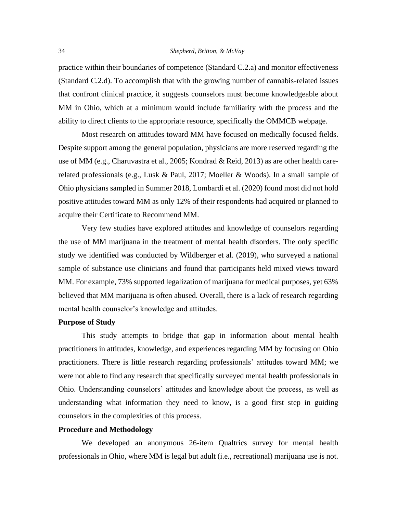practice within their boundaries of competence (Standard C.2.a) and monitor effectiveness (Standard C.2.d). To accomplish that with the growing number of cannabis-related issues that confront clinical practice, it suggests counselors must become knowledgeable about MM in Ohio, which at a minimum would include familiarity with the process and the ability to direct clients to the appropriate resource, specifically the OMMCB webpage.

Most research on attitudes toward MM have focused on medically focused fields. Despite support among the general population, physicians are more reserved regarding the use of MM (e.g., Charuvastra et al., 2005; Kondrad & Reid, 2013) as are other health carerelated professionals (e.g., Lusk & Paul, 2017; Moeller & Woods). In a small sample of Ohio physicians sampled in Summer 2018, Lombardi et al. (2020) found most did not hold positive attitudes toward MM as only 12% of their respondents had acquired or planned to acquire their Certificate to Recommend MM.

Very few studies have explored attitudes and knowledge of counselors regarding the use of MM marijuana in the treatment of mental health disorders. The only specific study we identified was conducted by Wildberger et al. (2019), who surveyed a national sample of substance use clinicians and found that participants held mixed views toward MM. For example, 73% supported legalization of marijuana for medical purposes, yet 63% believed that MM marijuana is often abused. Overall, there is a lack of research regarding mental health counselor's knowledge and attitudes.

# **Purpose of Study**

This study attempts to bridge that gap in information about mental health practitioners in attitudes, knowledge, and experiences regarding MM by focusing on Ohio practitioners. There is little research regarding professionals' attitudes toward MM; we were not able to find any research that specifically surveyed mental health professionals in Ohio. Understanding counselors' attitudes and knowledge about the process, as well as understanding what information they need to know, is a good first step in guiding counselors in the complexities of this process.

# **Procedure and Methodology**

We developed an anonymous 26-item Qualtrics survey for mental health professionals in Ohio, where MM is legal but adult (i.e., recreational) marijuana use is not.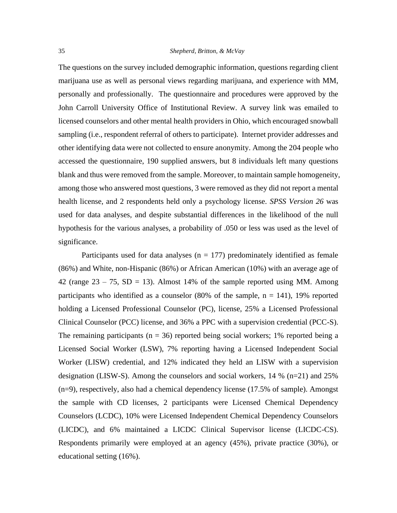The questions on the survey included demographic information, questions regarding client marijuana use as well as personal views regarding marijuana, and experience with MM, personally and professionally. The questionnaire and procedures were approved by the John Carroll University Office of Institutional Review. A survey link was emailed to licensed counselors and other mental health providers in Ohio, which encouraged snowball sampling (i.e., respondent referral of others to participate). Internet provider addresses and other identifying data were not collected to ensure anonymity. Among the 204 people who accessed the questionnaire, 190 supplied answers, but 8 individuals left many questions blank and thus were removed from the sample. Moreover, to maintain sample homogeneity, among those who answered most questions, 3 were removed as they did not report a mental health license, and 2 respondents held only a psychology license. *SPSS Version 26* was used for data analyses*,* and despite substantial differences in the likelihood of the null hypothesis for the various analyses, a probability of .050 or less was used as the level of significance.

Participants used for data analyses ( $n = 177$ ) predominately identified as female (86%) and White, non-Hispanic (86%) or African American (10%) with an average age of 42 (range  $23 - 75$ , SD = 13). Almost 14% of the sample reported using MM. Among participants who identified as a counselor (80% of the sample,  $n = 141$ ), 19% reported holding a Licensed Professional Counselor (PC), license, 25% a Licensed Professional Clinical Counselor (PCC) license, and 36% a PPC with a supervision credential (PCC-S). The remaining participants ( $n = 36$ ) reported being social workers; 1% reported being a Licensed Social Worker (LSW), 7% reporting having a Licensed Independent Social Worker (LISW) credential, and 12% indicated they held an LISW with a supervision designation (LISW-S). Among the counselors and social workers, 14 % (n=21) and 25% (n=9), respectively, also had a chemical dependency license (17.5% of sample). Amongst the sample with CD licenses, 2 participants were Licensed Chemical Dependency Counselors (LCDC), 10% were Licensed Independent Chemical Dependency Counselors (LICDC), and 6% maintained a LICDC Clinical Supervisor license (LICDC-CS). Respondents primarily were employed at an agency (45%), private practice (30%), or educational setting (16%).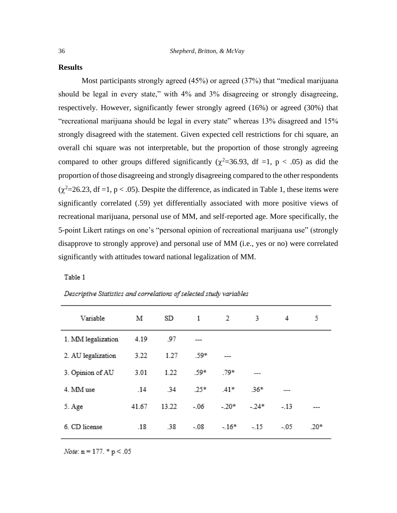## **Results**

Most participants strongly agreed (45%) or agreed (37%) that "medical marijuana should be legal in every state," with 4% and 3% disagreeing or strongly disagreeing, respectively. However, significantly fewer strongly agreed (16%) or agreed (30%) that "recreational marijuana should be legal in every state" whereas 13% disagreed and 15% strongly disagreed with the statement. Given expected cell restrictions for chi square, an overall chi square was not interpretable, but the proportion of those strongly agreeing compared to other groups differed significantly ( $\chi^2$ =36.93, df =1, p < .05) as did the proportion of those disagreeing and strongly disagreeing compared to the other respondents  $(\chi^2=26.23, df=1, p<.05)$ . Despite the difference, as indicated in Table 1, these items were significantly correlated (.59) yet differentially associated with more positive views of recreational marijuana, personal use of MM, and self-reported age. More specifically, the 5-point Likert ratings on one's "personal opinion of recreational marijuana use" (strongly disapprove to strongly approve) and personal use of MM (i.e., yes or no) were correlated significantly with attitudes toward national legalization of MM.

Table 1

| Variable           | М     | SD    | $\overline{1}$ | $\overline{\phantom{0}}$ | 3      | 4       | 5      |
|--------------------|-------|-------|----------------|--------------------------|--------|---------|--------|
| 1. MM legalization | 4.19  | .97   | $---$          |                          |        |         |        |
| 2. AU legalization | 3.22  | 1.27  | .59*           | ---                      |        |         |        |
| 3. Opinion of AU   | 3.01  | 1.22  | .59*           | .79*                     | ---    |         |        |
| 4. MM use          | .14   | .34   | $.25*$         | $.41*$                   | $.36*$ |         |        |
| 5. Age             | 41.67 | 13.22 | $-06$          | $-.20*$                  | $-24*$ | $-13$   |        |
| 6. CD license      | .18   | .38   | $-.08$         | $-.16*$                  | $-15$  | $-0.05$ | $.20*$ |

## Descriptive Statistics and correlations of selected study variables

*Note*:  $n = 177.$  \*  $p < .05$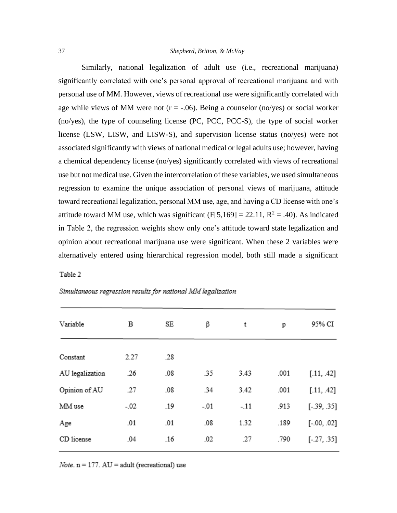Similarly, national legalization of adult use (i.e., recreational marijuana) significantly correlated with one's personal approval of recreational marijuana and with personal use of MM. However, views of recreational use were significantly correlated with age while views of MM were not  $(r = -.06)$ . Being a counselor (no/yes) or social worker (no/yes), the type of counseling license (PC, PCC, PCC-S), the type of social worker license (LSW, LISW, and LISW-S), and supervision license status (no/yes) were not associated significantly with views of national medical or legal adults use; however, having a chemical dependency license (no/yes) significantly correlated with views of recreational use but not medical use. Given the intercorrelation of these variables, we used simultaneous regression to examine the unique association of personal views of marijuana, attitude toward recreational legalization, personal MM use, age, and having a CD license with one's attitude toward MM use, which was significant (F[5,169] = 22.11,  $R^2$  = .40). As indicated in Table 2, the regression weights show only one's attitude toward state legalization and opinion about recreational marijuana use were significant. When these 2 variables were alternatively entered using hierarchical regression model, both still made a significant

#### Table 2

| Variable        | В      | SE  | β      | t      | p    | 95% CI        |
|-----------------|--------|-----|--------|--------|------|---------------|
|                 |        |     |        |        |      |               |
| Constant        | 2.27   | .28 |        |        |      |               |
| AU legalization | .26    | .08 | .35    | 3.43   | .001 | [.11, .42]    |
| Opinion of AU   | .27    | .08 | .34    | 3.42   | .001 | [.11, .42]    |
| MM use          | $-.02$ | .19 | $-.01$ | $-.11$ | .913 | $[-.39, .35]$ |
| Age             | .01    | .01 | .08    | 1.32   | .189 | $[-.00, .02]$ |
| CD license      | .04    | .16 | .02    | .27    | .790 | $[-.27, .35]$ |
|                 |        |     |        |        |      |               |

#### Simultaneous regression results for national MM legalization

*Note.*  $n = 177$ . AU = adult (recreational) use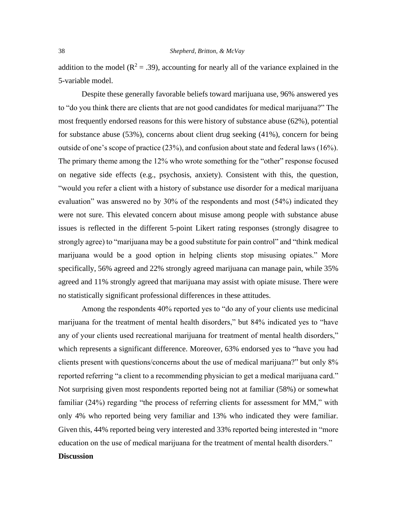addition to the model ( $R^2 = .39$ ), accounting for nearly all of the variance explained in the 5-variable model.

Despite these generally favorable beliefs toward marijuana use, 96% answered yes to "do you think there are clients that are not good candidates for medical marijuana?" The most frequently endorsed reasons for this were history of substance abuse (62%), potential for substance abuse (53%), concerns about client drug seeking (41%), concern for being outside of one's scope of practice (23%), and confusion about state and federal laws (16%). The primary theme among the 12% who wrote something for the "other" response focused on negative side effects (e.g., psychosis, anxiety). Consistent with this, the question, "would you refer a client with a history of substance use disorder for a medical marijuana evaluation" was answered no by 30% of the respondents and most (54%) indicated they were not sure. This elevated concern about misuse among people with substance abuse issues is reflected in the different 5-point Likert rating responses (strongly disagree to strongly agree) to "marijuana may be a good substitute for pain control" and "think medical marijuana would be a good option in helping clients stop misusing opiates." More specifically, 56% agreed and 22% strongly agreed marijuana can manage pain, while 35% agreed and 11% strongly agreed that marijuana may assist with opiate misuse. There were no statistically significant professional differences in these attitudes.

Among the respondents 40% reported yes to "do any of your clients use medicinal marijuana for the treatment of mental health disorders," but 84% indicated yes to "have any of your clients used recreational marijuana for treatment of mental health disorders," which represents a significant difference. Moreover, 63% endorsed yes to "have you had clients present with questions/concerns about the use of medical marijuana?" but only 8% reported referring "a client to a recommending physician to get a medical marijuana card." Not surprising given most respondents reported being not at familiar (58%) or somewhat familiar (24%) regarding "the process of referring clients for assessment for MM," with only 4% who reported being very familiar and 13% who indicated they were familiar. Given this, 44% reported being very interested and 33% reported being interested in "more education on the use of medical marijuana for the treatment of mental health disorders." **Discussion**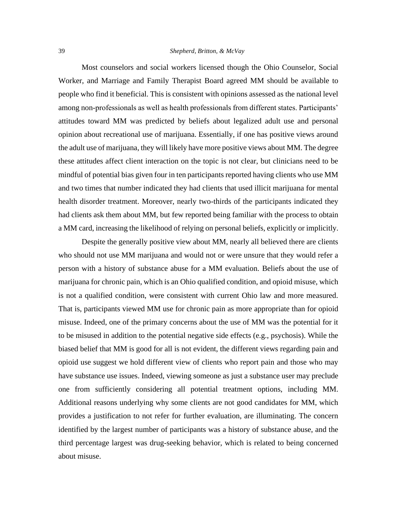Most counselors and social workers licensed though the Ohio Counselor, Social Worker, and Marriage and Family Therapist Board agreed MM should be available to people who find it beneficial. This is consistent with opinions assessed as the national level among non-professionals as well as health professionals from different states. Participants' attitudes toward MM was predicted by beliefs about legalized adult use and personal opinion about recreational use of marijuana. Essentially, if one has positive views around the adult use of marijuana, they will likely have more positive views about MM. The degree these attitudes affect client interaction on the topic is not clear, but clinicians need to be mindful of potential bias given four in ten participants reported having clients who use MM and two times that number indicated they had clients that used illicit marijuana for mental health disorder treatment. Moreover, nearly two-thirds of the participants indicated they had clients ask them about MM, but few reported being familiar with the process to obtain a MM card, increasing the likelihood of relying on personal beliefs, explicitly or implicitly.

Despite the generally positive view about MM, nearly all believed there are clients who should not use MM marijuana and would not or were unsure that they would refer a person with a history of substance abuse for a MM evaluation. Beliefs about the use of marijuana for chronic pain, which is an Ohio qualified condition, and opioid misuse, which is not a qualified condition, were consistent with current Ohio law and more measured. That is, participants viewed MM use for chronic pain as more appropriate than for opioid misuse. Indeed, one of the primary concerns about the use of MM was the potential for it to be misused in addition to the potential negative side effects (e.g., psychosis). While the biased belief that MM is good for all is not evident, the different views regarding pain and opioid use suggest we hold different view of clients who report pain and those who may have substance use issues. Indeed, viewing someone as just a substance user may preclude one from sufficiently considering all potential treatment options, including MM. Additional reasons underlying why some clients are not good candidates for MM, which provides a justification to not refer for further evaluation, are illuminating. The concern identified by the largest number of participants was a history of substance abuse, and the third percentage largest was drug-seeking behavior, which is related to being concerned about misuse.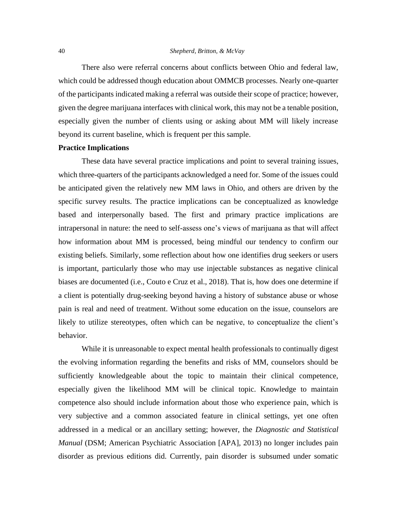There also were referral concerns about conflicts between Ohio and federal law, which could be addressed though education about OMMCB processes. Nearly one-quarter of the participants indicated making a referral was outside their scope of practice; however, given the degree marijuana interfaces with clinical work, this may not be a tenable position, especially given the number of clients using or asking about MM will likely increase beyond its current baseline, which is frequent per this sample.

# **Practice Implications**

These data have several practice implications and point to several training issues, which three-quarters of the participants acknowledged a need for. Some of the issues could be anticipated given the relatively new MM laws in Ohio, and others are driven by the specific survey results. The practice implications can be conceptualized as knowledge based and interpersonally based. The first and primary practice implications are intrapersonal in nature: the need to self-assess one's views of marijuana as that will affect how information about MM is processed, being mindful our tendency to confirm our existing beliefs. Similarly, some reflection about how one identifies drug seekers or users is important, particularly those who may use injectable substances as negative clinical biases are documented (i.e., Couto e Cruz et al., 2018). That is, how does one determine if a client is potentially drug-seeking beyond having a history of substance abuse or whose pain is real and need of treatment. Without some education on the issue, counselors are likely to utilize stereotypes, often which can be negative, to conceptualize the client's behavior.

While it is unreasonable to expect mental health professionals to continually digest the evolving information regarding the benefits and risks of MM, counselors should be sufficiently knowledgeable about the topic to maintain their clinical competence, especially given the likelihood MM will be clinical topic. Knowledge to maintain competence also should include information about those who experience pain, which is very subjective and a common associated feature in clinical settings, yet one often addressed in a medical or an ancillary setting; however, the *Diagnostic and Statistical Manual* (DSM; American Psychiatric Association [APA], 2013) no longer includes pain disorder as previous editions did. Currently, pain disorder is subsumed under somatic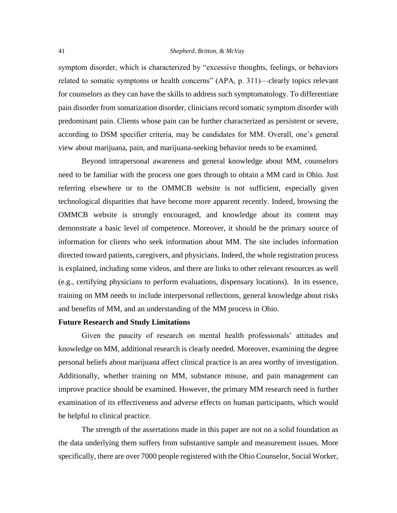symptom disorder, which is characterized by "excessive thoughts, feelings, or behaviors related to somatic symptoms or health concerns" (APA, p. 311)—clearly topics relevant for counselors as they can have the skills to address such symptomatology. To differentiate pain disorder from somatization disorder, clinicians record somatic symptom disorder with predominant pain. Clients whose pain can be further characterized as persistent or severe, according to DSM specifier criteria, may be candidates for MM. Overall, one's general view about marijuana, pain, and marijuana-seeking behavior needs to be examined.

Beyond intrapersonal awareness and general knowledge about MM, counselors need to be familiar with the process one goes through to obtain a MM card in Ohio. Just referring elsewhere or to the OMMCB website is not sufficient, especially given technological disparities that have become more apparent recently. Indeed, browsing the OMMCB website is strongly encouraged, and knowledge about its content may demonstrate a basic level of competence. Moreover, it should be the primary source of information for clients who seek information about MM. The site includes information directed toward patients, caregivers, and physicians. Indeed, the whole registration process is explained, including some videos, and there are links to other relevant resources as well (e.g., certifying physicians to perform evaluations, dispensary locations). In its essence, training on MM needs to include interpersonal reflections, general knowledge about risks and benefits of MM, and an understanding of the MM process in Ohio.

#### **Future Research and Study Limitations**

Given the paucity of research on mental health professionals' attitudes and knowledge on MM, additional research is clearly needed. Moreover, examining the degree personal beliefs about marijuana affect clinical practice is an area worthy of investigation. Additionally, whether training on MM, substance misuse, and pain management can improve practice should be examined. However, the primary MM research need is further examination of its effectiveness and adverse effects on human participants, which would be helpful to clinical practice.

The strength of the assertations made in this paper are not on a solid foundation as the data underlying them suffers from substantive sample and measurement issues. More specifically, there are over 7000 people registered with the Ohio Counselor, Social Worker,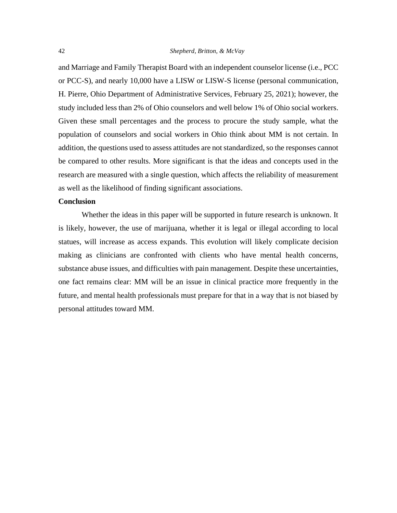and Marriage and Family Therapist Board with an independent counselor license (i.e., PCC or PCC-S), and nearly 10,000 have a LISW or LISW-S license (personal communication, H. Pierre, Ohio Department of Administrative Services, February 25, 2021); however, the study included less than 2% of Ohio counselors and well below 1% of Ohio social workers. Given these small percentages and the process to procure the study sample, what the population of counselors and social workers in Ohio think about MM is not certain. In addition, the questions used to assess attitudes are not standardized, so the responses cannot be compared to other results. More significant is that the ideas and concepts used in the research are measured with a single question, which affects the reliability of measurement as well as the likelihood of finding significant associations.

#### **Conclusion**

Whether the ideas in this paper will be supported in future research is unknown. It is likely, however, the use of marijuana, whether it is legal or illegal according to local statues, will increase as access expands. This evolution will likely complicate decision making as clinicians are confronted with clients who have mental health concerns, substance abuse issues, and difficulties with pain management. Despite these uncertainties, one fact remains clear: MM will be an issue in clinical practice more frequently in the future, and mental health professionals must prepare for that in a way that is not biased by personal attitudes toward MM.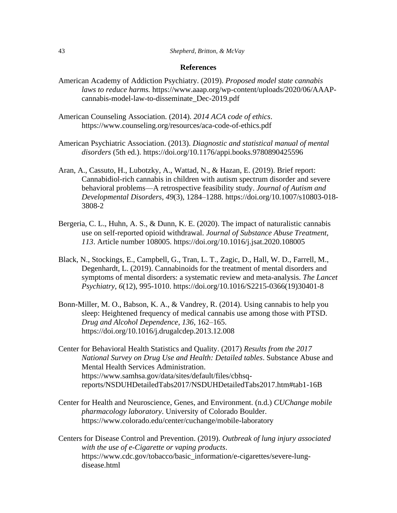#### **References**

- American Academy of Addiction Psychiatry. (2019). *Proposed model state cannabis laws to reduce harms.* https://www.aaap.org/wp-content/uploads/2020/06/AAAPcannabis-model-law-to-disseminate\_Dec-2019.pdf
- American Counseling Association. (2014). *2014 ACA code of ethics*. https://www.counseling.org/resources/aca-code-of-ethics.pdf
- American Psychiatric Association. (2013). *Diagnostic and statistical manual of mental disorders* (5th ed.).<https://doi.org/10.1176/appi.books.9780890425596>
- Aran, A., Cassuto, H., Lubotzky, A., Wattad, N., & Hazan, E. (2019). Brief report: Cannabidiol-rich cannabis in children with autism spectrum disorder and severe behavioral problems—A retrospective feasibility study. *Journal of Autism and Developmental Disorders*, *49*(3), 1284–1288. https://doi.org/10.1007/s10803-018- 3808-2
- Bergeria, C. L., Huhn, A. S., & Dunn, K. E. (2020). The impact of naturalistic cannabis use on self-reported opioid withdrawal. *Journal of Substance Abuse Treatment, 113*. Article number 108005.<https://doi.org/10.1016/j.jsat.2020.108005>
- Black, N., Stockings, E., Campbell, G., Tran, L. T., Zagic, D., Hall, W. D., Farrell, M., Degenhardt, L. (2019). Cannabinoids for the treatment of mental disorders and symptoms of mental disorders: a systematic review and meta-analysis. *The Lancet Psychiatry, 6*(12), 995-1010. [https://doi.org/10.1016/S2215-0366\(19\)30401-8](https://doi.org/10.1016/S2215-0366(19)30401-8)
- Bonn-Miller, M. O., Babson, K. A., & Vandrey, R. (2014). Using cannabis to help you sleep: Heightened frequency of medical cannabis use among those with PTSD. *Drug and Alcohol Dependence*, *136*, 162–165. <https://doi.org/10.1016/j.drugalcdep.2013.12.008>
- Center for Behavioral Health Statistics and Quality. (2017) *Results from the 2017 National Survey on Drug Use and Health: Detailed tables*. Substance Abuse and Mental Health Services Administration. [https://www.samhsa.gov/data/sites/default/files/cbhsq](https://www.samhsa.gov/data/sites/default/files/cbhsq-reports/NSDUHDetailedTabs2017/NSDUHDetailedTabs2017.htm%23tab1-16B)[reports/NSDUHDetailedTabs2017/NSDUHDetailedTabs2017.htm#tab1-16B](https://www.samhsa.gov/data/sites/default/files/cbhsq-reports/NSDUHDetailedTabs2017/NSDUHDetailedTabs2017.htm%23tab1-16B)
- Center for Health and Neuroscience, Genes, and Environment. (n.d.) *CUChange mobile pharmacology laboratory*. University of Colorado Boulder. <https://www.colorado.edu/center/cuchange/mobile-laboratory>
- Centers for Disease Control and Prevention. (2019). *Outbreak of lung injury associated with the use of e-Cigarette or vaping products*. [https://www.cdc.gov/tobacco/basic\\_information/e-cigarettes/severe-lung](https://www.cdc.gov/tobacco/basic_information/e-cigarettes/severe-lung-disease.html)[disease.html](https://www.cdc.gov/tobacco/basic_information/e-cigarettes/severe-lung-disease.html)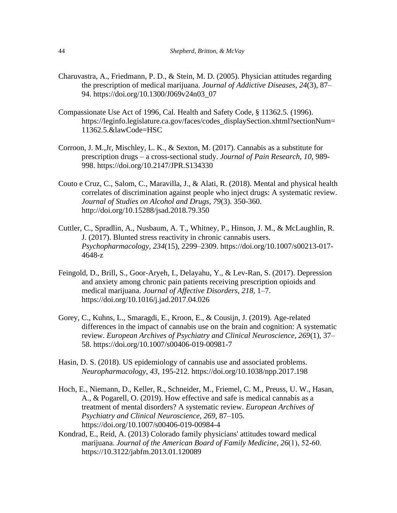- Charuvastra, A., Friedmann, P. D., & Stein, M. D. (2005). Physician attitudes regarding the prescription of medical marijuana. *Journal of Addictive Diseases*, *24*(3), 87– 94. [https://doi.org/10.1300/J069v24n03\\_07](https://doi.org/10.1300/J069v24n03_07)
- Compassionate Use Act of 1996, Cal. Health and Safety Code, § 11362.5. (1996). https://leginfo.legislature.ca.gov/faces/codes\_displaySection.xhtml?sectionNum= 11362.5.&lawCode=HSC
- Corroon, J. M.,Jr, Mischley, L. K., & Sexton, M. (2017). Cannabis as a substitute for prescription drugs – a cross-sectional study. *Journal of Pain Research, 10*, 989- 998.<https://doi.org/10.2147/JPR.S134330>
- Couto e Cruz, C., Salom, C., Maravilla, J., & Alati, R. (2018). Mental and physical health correlates of discrimination against people who inject drugs: A systematic review. *Journal of Studies on Alcohol and Drugs*, *79*(3). 350-360. [http://doi.org/10.15288/jsad.2018.79.350](http://doi.org/10.15288/jsad.2018.79.350 )
- Cuttler, C., Spradlin, A., Nusbaum, A. T., Whitney, P., Hinson, J. M., & McLaughlin, R. J. (2017). Blunted stress reactivity in chronic cannabis users. *Psychopharmacology, 234*(15), 2299–2309. [https://doi.org/10.1007/s00213-017-](https://doi.org/10.1007/s00213-017-4648-z) [4648-z](https://doi.org/10.1007/s00213-017-4648-z)
- Feingold, D., Brill, S., Goor-Aryeh, I., Delayahu, Y., & Lev-Ran, S. (2017). Depression and anxiety among chronic pain patients receiving prescription opioids and medical marijuana. *Journal of Affective Disorders*, *218*, 1–7. <https://doi.org/10.1016/j.jad.2017.04.026>
- Gorey, C., Kuhns, L., Smaragdi, E., Kroon, E., & Cousijn, J. (2019). Age-related differences in the impact of cannabis use on the brain and cognition: A systematic review. *European Archives of Psychiatry and Clinical Neuroscience*, *269*(1), 37– 58.<https://doi.org/10.1007/s00406-019-00981-7>
- Hasin, D. S. (2018). US epidemiology of cannabis use and associated problems. *Neuropharmacology*, *43*, 195-212.<https://doi.org/10.1038/npp.2017.198>
- Hoch, E., Niemann, D., Keller, R., Schneider, M., Friemel, C. M., Preuss, U. W., Hasan, A., & Pogarell, O. (2019). How effective and safe is medical cannabis as a treatment of mental disorders? A systematic review. *European Archives of Psychiatry and Clinical Neuroscience*, *269*, 87–105. <https://doi.org/10.1007/s00406-019-00984-4>
- Kondrad, E., Reid, A. (2013) Colorado family physicians' attitudes toward medical marijuana. *Journal of the American Board of Family Medicine*, *26*(1), 52‐60. [https://10.3122/jabfm.2013.01.120089](https://10.0.12.50/jabfm.2013.01.120089)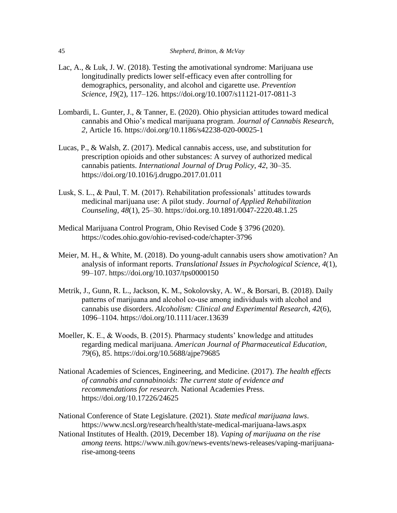- Lac, A., & Luk, J. W. (2018). Testing the amotivational syndrome: Marijuana use longitudinally predicts lower self-efficacy even after controlling for demographics, personality, and alcohol and cigarette use. *Prevention Science*, *19*(2), 117–126.<https://doi.org/10.1007/s11121-017-0811-3>
- Lombardi, L. Gunter, J., & Tanner, E. (2020). Ohio physician attitudes toward medical cannabis and Ohio's medical marijuana program. *Journal of Cannabis Research*, *2,* Article 16.<https://doi.org/10.1186/s42238-020-00025-1>
- Lucas, P., & Walsh, Z. (2017). Medical cannabis access, use, and substitution for prescription opioids and other substances: A survey of authorized medical cannabis patients. *International Journal of Drug Policy*, *42*, 30–35. <https://doi.org/10.1016/j.drugpo.2017.01.011>
- Lusk, S. L., & Paul, T. M. (2017). Rehabilitation professionals' attitudes towards medicinal marijuana use: A pilot study. *Journal of Applied Rehabilitation Counseling*, *48*(1), 25–30. <https://doi.org.10.1891/0047-2220.48.1.25>
- Medical Marijuana Control Program, Ohio Revised Code § 3796 (2020). https://codes.ohio.gov/ohio-revised-code/chapter-3796
- Meier, M. H., & White, M. (2018). Do young-adult cannabis users show amotivation? An analysis of informant reports. *Translational Issues in Psychological Science*, *4*(1), 99–107. https://doi.org/10.1037/tps0000150
- Metrik, J., Gunn, R. L., Jackson, K. M., Sokolovsky, A. W., & Borsari, B. (2018). Daily patterns of marijuana and alcohol co‐use among individuals with alcohol and cannabis use disorders. *Alcoholism: Clinical and Experimental Research*, *42*(6), 1096–1104. https://doi.org/10.1111/acer.13639
- Moeller, K. E., & Woods, B. (2015). Pharmacy students' knowledge and attitudes regarding medical marijuana. *American Journal of Pharmaceutical Education, 79*(6), 85. https://doi.org/10.5688/ajpe79685
- National Academies of Sciences, Engineering, and Medicine. (2017). *The health effects of cannabis and cannabinoids: The current state of evidence and recommendations for research*. National Academies Press. https://doi.org/10.17226/24625

National Conference of State Legislature. (2021). *State medical marijuana laws*. https://www.ncsl.org/research/health/state-medical-marijuana-laws.aspx

National Institutes of Health. (2019, December 18). *Vaping of marijuana on the rise among teens.* https://www.nih.gov/news-events/news-releases/vaping-marijuanarise-among-teens